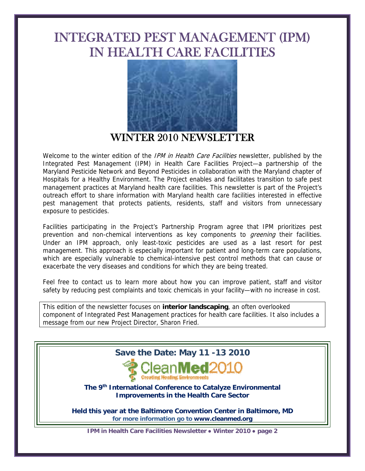# INTEGRATED PEST MANAGEMENT (IPM) IN HEALTH CARE FACILITIES



WINTER 2010 NEWSLETTER

Welcome to the winter edition of the *IPM in Health Care Facilities* newsletter, published by the Integrated Pest Management (IPM) in Health Care Facilities Project—a partnership of the Maryland Pesticide Network and Beyond Pesticides in collaboration with the Maryland chapter of Hospitals for a Healthy Environment. The Project enables and facilitates transition to safe pest management practices at Maryland health care facilities. This newsletter is part of the Project's outreach effort to share information with Maryland health care facilities interested in effective pest management that protects patients, residents, staff and visitors from unnecessary exposure to pesticides.

Facilities participating in the Project's Partnership Program agree that IPM prioritizes pest prevention and non-chemical interventions as key components to *greening* their facilities. Under an IPM approach, only least-toxic pesticides are used as a last resort for pest management. This approach is especially important for patient and long-term care populations, which are especially vulnerable to chemical-intensive pest control methods that can cause or exacerbate the very diseases and conditions for which they are being treated.

Feel free to contact us to learn more about how you can improve patient, staff and visitor safety by reducing pest complaints and toxic chemicals in your facility—with no increase in cost.

This edition of the newsletter focuses on **interior landscaping**, an often overlooked component of Integrated Pest Management practices for health care facilities. It also includes a message from our new Project Director, Sharon Fried.



**Improvements in the Health Care Sector** 

**Held this year at the Baltimore Convention Center in Baltimore, MD for more information go to www.cleanmed.org** 

**IPM in Health Care Facilities Newsletter ● Winter 2010 ● page 2**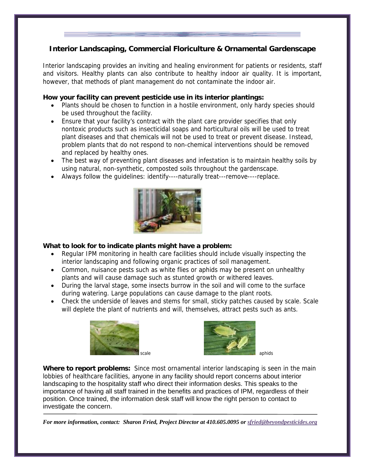# **Interior Landscaping, Commercial Floriculture & Ornamental Gardenscape**

Interior landscaping provides an inviting and healing environment for patients or residents, staff and visitors. Healthy plants can also contribute to healthy indoor air quality. It is important, however, that methods of plant management do not contaminate the indoor air.

### **How your facility can prevent pesticide use in its interior plantings:**

- Plants should be chosen to function in a hostile environment, only hardy species should be used throughout the facility.
- Ensure that your facility's contract with the plant care provider specifies that only nontoxic products such as insecticidal soaps and horticultural oils will be used to treat plant diseases and that chemicals will not be used to treat or prevent disease. Instead, problem plants that do not respond to non-chemical interventions should be removed and replaced by healthy ones.
- The best way of preventing plant diseases and infestation is to maintain healthy soils by using natural, non-synthetic, composted soils throughout the gardenscape.
- Always follow the guidelines: identify----naturally treat---remove----replace.



#### **What to look for to indicate plants might have a problem:**

- Regular IPM monitoring in health care facilities should include visually inspecting the interior landscaping and following organic practices of soil management.
- Common, nuisance pests such as white flies or aphids may be present on unhealthy plants and will cause damage such as stunted growth or withered leaves.
- During the larval stage, some insects burrow in the soil and will come to the surface during watering. Large populations can cause damage to the plant roots.
- Check the underside of leaves and stems for small, sticky patches caused by scale. Scale will deplete the plant of nutrients and will, themselves, attract pests such as ants.





**Where to report problems:** Since most ornamental interior landscaping is seen in the main lobbies of healthcare facilities, anyone in any facility should report concerns about interior landscaping to the hospitality staff who direct their information desks. This speaks to the importance of having all staff trained in the benefits and practices of IPM, regardless of their position. Once trained, the information desk staff will know the right person to contact to investigate the concern.

*For more information, contact: Sharon Fried, Project Director at 410.605.0095 or sfried@beyondpesticides.org*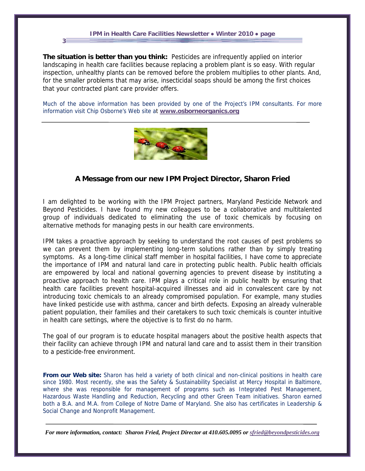#### **IPM in Health Care Facilities Newsletter ● Winter 2010 ● page**

**3**

**The situation is better than you think:** Pesticides are infrequently applied on interior landscaping in health care facilities because replacing a problem plant is so easy. With regular inspection, unhealthy plants can be removed before the problem multiplies to other plants. And, for the smaller problems that may arise, insecticidal soaps should be among the first choices that your contracted plant care provider offers.

Much of the above information has been provided by one of the Project's IPM consultants. For more information visit Chip Osborne's Web site at **www.osborneorganics.org**



## **A Message from our new IPM Project Director, Sharon Fried**

I am delighted to be working with the IPM Project partners, Maryland Pesticide Network and Beyond Pesticides. I have found my new colleagues to be a collaborative and multitalented group of individuals dedicated to eliminating the use of toxic chemicals by focusing on alternative methods for managing pests in our health care environments.

IPM takes a proactive approach by seeking to understand the root causes of pest problems so we can prevent them by implementing long-term solutions rather than by simply treating symptoms. As a long-time clinical staff member in hospital facilities, I have come to appreciate the importance of IPM and natural land care in protecting public health. Public health officials are empowered by local and national governing agencies to prevent disease by instituting a proactive approach to health care. IPM plays a critical role in public health by ensuring that health care facilities prevent hospital-acquired illnesses and aid in convalescent care by not introducing toxic chemicals to an already compromised population. For example, many studies have linked pesticide use with asthma, cancer and birth defects. Exposing an already vulnerable patient population, their families and their caretakers to such toxic chemicals is counter intuitive in health care settings, where the objective is to first do no harm.

The goal of our program is to educate hospital managers about the positive health aspects that their facility can achieve through IPM and natural land care and to assist them in their transition to a pesticide-free environment.

**From our Web site:** Sharon has held a variety of both clinical and non-clinical positions in health care since 1980. Most recently, she was the Safety & Sustainability Specialist at Mercy Hospital in Baltimore, where she was responsible for management of programs such as Integrated Pest Management, Hazardous Waste Handling and Reduction, Recycling and other Green Team initiatives. Sharon earned both a B.A. and M.A. from College of Notre Dame of Maryland. She also has certificates in Leadership & Social Change and Nonprofit Management.

*For more information, contact: Sharon Fried, Project Director at 410.605.0095 or sfried@beyondpesticides.org*